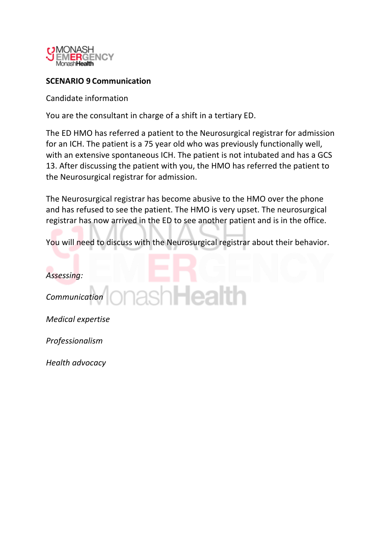

# **SCENARIO!9 Communication**

Candidate information

You are the consultant in charge of a shift in a tertiary ED.

The ED HMO has referred a patient to the Neurosurgical registrar for admission for an ICH. The patient is a 75 year old who was previously functionally well, with an extensive spontaneous ICH. The patient is not intubated and has a GCS 13. After discussing the patient with you, the HMO has referred the patient to the Neurosurgical registrar for admission.

The Neurosurgical registrar has become abusive to the HMO over the phone and has refused to see the patient. The HMO is very upset. The neurosurgical registrar has now arrived in the ED to see another patient and is in the office.

You will need to discuss with the Neurosurgical registrar about their behavior.

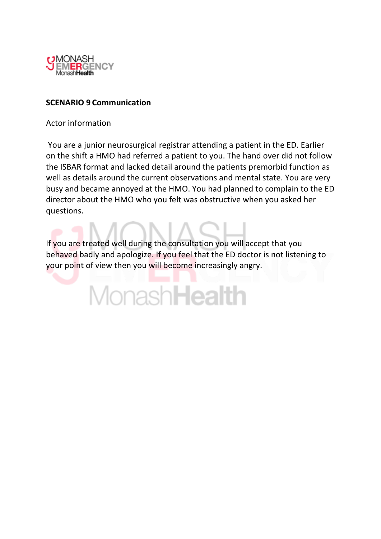

## **SCENARIO!9 Communication**

Actor information

You are a junior neurosurgical registrar attending a patient in the ED. Earlier on the shift a HMO had referred a patient to you. The hand over did not follow the ISBAR format and lacked detail around the patients premorbid function as well as details around the current observations and mental state. You are very busy and became annoyed at the HMO. You had planned to complain to the ED director about the HMO who you felt was obstructive when you asked her questions.

If you are treated well during the consultation you will accept that you behaved badly and apologize. If you feel that the ED doctor is not listening to your point of view then you will become increasingly angry.

MonashHealth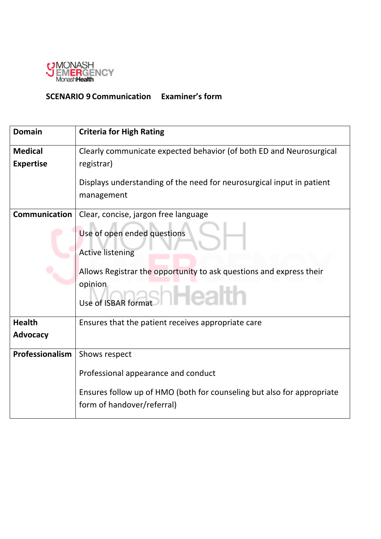

# **SCENARIO 9 Communication Examiner's form**

| <b>Domain</b>        | <b>Criteria for High Rating</b>                                                                      |  |  |  |  |  |  |
|----------------------|------------------------------------------------------------------------------------------------------|--|--|--|--|--|--|
| <b>Medical</b>       | Clearly communicate expected behavior (of both ED and Neurosurgical                                  |  |  |  |  |  |  |
| <b>Expertise</b>     | registrar)                                                                                           |  |  |  |  |  |  |
|                      | Displays understanding of the need for neurosurgical input in patient                                |  |  |  |  |  |  |
|                      | management                                                                                           |  |  |  |  |  |  |
| <b>Communication</b> | Clear, concise, jargon free language                                                                 |  |  |  |  |  |  |
|                      | Use of open ended questions                                                                          |  |  |  |  |  |  |
|                      | <b>Active listening</b>                                                                              |  |  |  |  |  |  |
|                      | Allows Registrar the opportunity to ask questions and express their                                  |  |  |  |  |  |  |
|                      | opinion                                                                                              |  |  |  |  |  |  |
|                      | sh <b>Healt</b> l<br>Use of ISBAR format                                                             |  |  |  |  |  |  |
| <b>Health</b>        | Ensures that the patient receives appropriate care                                                   |  |  |  |  |  |  |
| <b>Advocacy</b>      |                                                                                                      |  |  |  |  |  |  |
| Professionalism      | Shows respect                                                                                        |  |  |  |  |  |  |
|                      | Professional appearance and conduct                                                                  |  |  |  |  |  |  |
|                      | Ensures follow up of HMO (both for counseling but also for appropriate<br>form of handover/referral) |  |  |  |  |  |  |